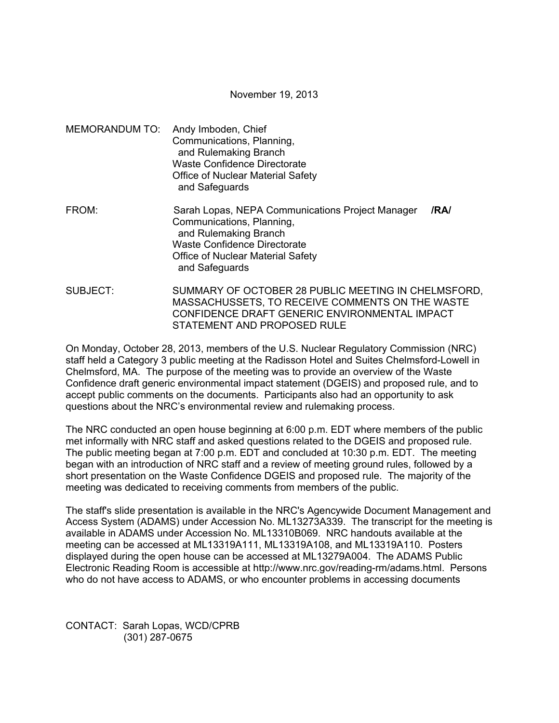November 19, 2013

- MEMORANDUM TO: Andy Imboden, Chief Communications, Planning, and Rulemaking Branch Waste Confidence Directorate Office of Nuclear Material Safety and Safeguards
- FROM: Sarah Lopas, NEPA Communications Project Manager **/RA/**  Communications, Planning, and Rulemaking Branch Waste Confidence Directorate Office of Nuclear Material Safety and Safeguards
- SUBJECT: SUMMARY OF OCTOBER 28 PUBLIC MEETING IN CHELMSFORD, MASSACHUSSETS, TO RECEIVE COMMENTS ON THE WASTE CONFIDENCE DRAFT GENERIC ENVIRONMENTAL IMPACT STATEMENT AND PROPOSED RULE

On Monday, October 28, 2013, members of the U.S. Nuclear Regulatory Commission (NRC) staff held a Category 3 public meeting at the Radisson Hotel and Suites Chelmsford-Lowell in Chelmsford, MA. The purpose of the meeting was to provide an overview of the Waste Confidence draft generic environmental impact statement (DGEIS) and proposed rule, and to accept public comments on the documents. Participants also had an opportunity to ask questions about the NRC's environmental review and rulemaking process.

The NRC conducted an open house beginning at 6:00 p.m. EDT where members of the public met informally with NRC staff and asked questions related to the DGEIS and proposed rule. The public meeting began at 7:00 p.m. EDT and concluded at 10:30 p.m. EDT. The meeting began with an introduction of NRC staff and a review of meeting ground rules, followed by a short presentation on the Waste Confidence DGEIS and proposed rule. The majority of the meeting was dedicated to receiving comments from members of the public.

The staff's slide presentation is available in the NRC's Agencywide Document Management and Access System (ADAMS) under Accession No. ML13273A339. The transcript for the meeting is available in ADAMS under Accession No. ML13310B069. NRC handouts available at the meeting can be accessed at ML13319A111, ML13319A108, and ML13319A110. Posters displayed during the open house can be accessed at ML13279A004. The ADAMS Public Electronic Reading Room is accessible at http://www.nrc.gov/reading-rm/adams.html. Persons who do not have access to ADAMS, or who encounter problems in accessing documents

CONTACT: Sarah Lopas, WCD/CPRB (301) 287-0675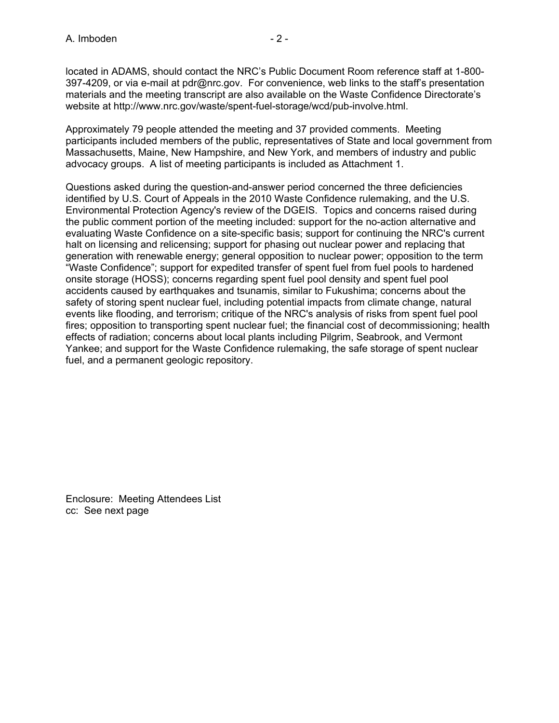located in ADAMS, should contact the NRC's Public Document Room reference staff at 1-800- 397-4209, or via e-mail at pdr@nrc.gov. For convenience, web links to the staff's presentation materials and the meeting transcript are also available on the Waste Confidence Directorate's website at http://www.nrc.gov/waste/spent-fuel-storage/wcd/pub-involve.html.

Approximately 79 people attended the meeting and 37 provided comments. Meeting participants included members of the public, representatives of State and local government from Massachusetts, Maine, New Hampshire, and New York, and members of industry and public advocacy groups. A list of meeting participants is included as Attachment 1.

Questions asked during the question-and-answer period concerned the three deficiencies identified by U.S. Court of Appeals in the 2010 Waste Confidence rulemaking, and the U.S. Environmental Protection Agency's review of the DGEIS. Topics and concerns raised during the public comment portion of the meeting included: support for the no-action alternative and evaluating Waste Confidence on a site-specific basis; support for continuing the NRC's current halt on licensing and relicensing; support for phasing out nuclear power and replacing that generation with renewable energy; general opposition to nuclear power; opposition to the term "Waste Confidence"; support for expedited transfer of spent fuel from fuel pools to hardened onsite storage (HOSS); concerns regarding spent fuel pool density and spent fuel pool accidents caused by earthquakes and tsunamis, similar to Fukushima; concerns about the safety of storing spent nuclear fuel, including potential impacts from climate change, natural events like flooding, and terrorism; critique of the NRC's analysis of risks from spent fuel pool fires; opposition to transporting spent nuclear fuel; the financial cost of decommissioning; health effects of radiation; concerns about local plants including Pilgrim, Seabrook, and Vermont Yankee; and support for the Waste Confidence rulemaking, the safe storage of spent nuclear fuel, and a permanent geologic repository.

Enclosure: Meeting Attendees List cc: See next page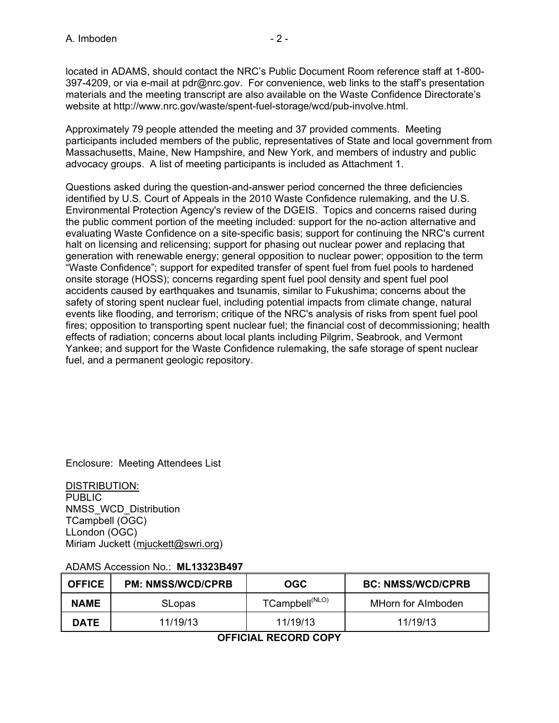located in ADAMS, should contact the NRC's Public Document Room reference staff at 1-800- 397-4209, or via e-mail at pdr@nrc.gov. For convenience, web links to the staff's presentation materials and the meeting transcript are also available on the Waste Confidence Directorate's website at http://www.nrc.gov/waste/spent-fuel-storage/wcd/pub-involve.html.

Approximately 79 people attended the meeting and 37 provided comments. Meeting participants included members of the public, representatives of State and local government from Massachusetts, Maine, New Hampshire, and New York, and members of industry and public advocacy groups. A list of meeting participants is included as Attachment 1.

Questions asked during the question-and-answer period concerned the three deficiencies identified by U.S. Court of Appeals in the 2010 Waste Confidence rulemaking, and the U.S. Environmental Protection Agency's review of the DGEIS. Topics and concerns raised during the public comment portion of the meeting included: support for the no-action alternative and evaluating Waste Confidence on a site-specific basis; support for continuing the NRC's current halt on licensing and relicensing; support for phasing out nuclear power and replacing that generation with renewable energy; general opposition to nuclear power; opposition to the term "Waste Confidence"; support for expedited transfer of spent fuel from fuel pools to hardened onsite storage (HOSS); concerns regarding spent fuel pool density and spent fuel pool accidents caused by earthquakes and tsunamis, similar to Fukushima; concerns about the safety of storing spent nuclear fuel, including potential impacts from climate change, natural events like flooding, and terrorism; critique of the NRC's analysis of risks from spent fuel pool fires; opposition to transporting spent nuclear fuel; the financial cost of decommissioning; health effects of radiation; concerns about local plants including Pilgrim, Seabrook, and Vermont Yankee; and support for the Waste Confidence rulemaking, the safe storage of spent nuclear fuel, and a permanent geologic repository.

Enclosure: Meeting Attendees List

DISTRIBUTION: PUBLIC NMSS\_WCD\_Distribution TCampbell (OGC) LLondon (OGC) Miriam Juckett (mjuckett@swri.org)

## ADAMS Accession No.: **ML13323B497**

| <b>OFFICE</b> | <b>PM: NMSS/WCD/CPRB</b> | <b>OGC</b>                 | <b>BC: NMSS/WCD/CPRB</b> |
|---------------|--------------------------|----------------------------|--------------------------|
| <b>NAME</b>   | <b>SLopas</b>            | TCampbell <sup>(NLO)</sup> | MHorn for Almboden       |
| <b>DATE</b>   | 11/19/13                 | 11/19/13                   | 11/19/13                 |

## **OFFICIAL RECORD COPY**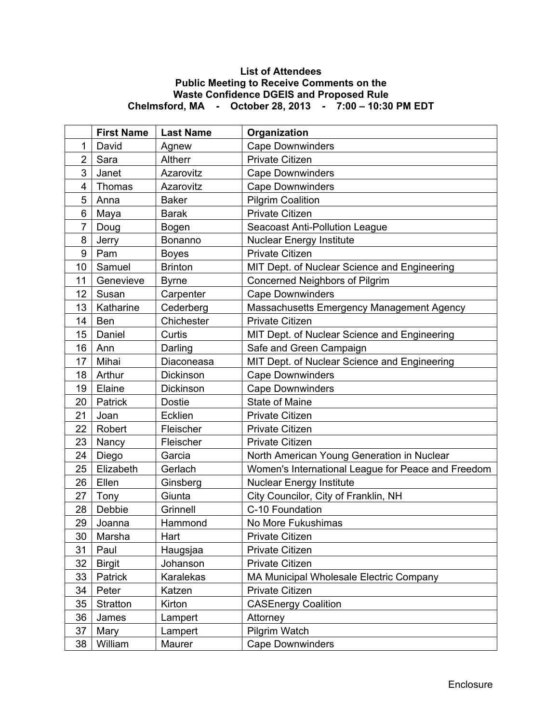## **List of Attendees Public Meeting to Receive Comments on the Waste Confidence DGEIS and Proposed Rule Chelmsford, MA - October 28, 2013 - 7:00 – 10:30 PM EDT**

|                  | <b>First Name</b> | <b>Last Name</b> | Organization                                       |
|------------------|-------------------|------------------|----------------------------------------------------|
| 1                | David             | Agnew            | <b>Cape Downwinders</b>                            |
| $\overline{2}$   | Sara              | Altherr          | <b>Private Citizen</b>                             |
| 3                | Janet             | Azarovitz        | <b>Cape Downwinders</b>                            |
| 4                | Thomas            | Azarovitz        | <b>Cape Downwinders</b>                            |
| 5                | Anna              | <b>Baker</b>     | <b>Pilgrim Coalition</b>                           |
| 6                | Maya              | <b>Barak</b>     | <b>Private Citizen</b>                             |
| 7                | Doug              | Bogen            | <b>Seacoast Anti-Pollution League</b>              |
| 8                | Jerry             | Bonanno          | <b>Nuclear Energy Institute</b>                    |
| $\boldsymbol{9}$ | Pam               | <b>Boyes</b>     | <b>Private Citizen</b>                             |
| 10               | Samuel            | <b>Brinton</b>   | MIT Dept. of Nuclear Science and Engineering       |
| 11               | Genevieve         | <b>Byrne</b>     | Concerned Neighbors of Pilgrim                     |
| 12               | Susan             | Carpenter        | <b>Cape Downwinders</b>                            |
| 13               | Katharine         | Cederberg        | Massachusetts Emergency Management Agency          |
| 14               | Ben               | Chichester       | <b>Private Citizen</b>                             |
| 15               | Daniel            | Curtis           | MIT Dept. of Nuclear Science and Engineering       |
| 16               | Ann               | Darling          | Safe and Green Campaign                            |
| 17               | Mihai             | Diaconeasa       | MIT Dept. of Nuclear Science and Engineering       |
| 18               | Arthur            | Dickinson        | <b>Cape Downwinders</b>                            |
| 19               | Elaine            | Dickinson        | <b>Cape Downwinders</b>                            |
| 20               | Patrick           | <b>Dostie</b>    | <b>State of Maine</b>                              |
| 21               | Joan              | <b>Ecklien</b>   | <b>Private Citizen</b>                             |
| 22               | Robert            | Fleischer        | <b>Private Citizen</b>                             |
| 23               | Nancy             | Fleischer        | <b>Private Citizen</b>                             |
| 24               | Diego             | Garcia           | North American Young Generation in Nuclear         |
| 25               | Elizabeth         | Gerlach          | Women's International League for Peace and Freedom |
| 26               | Ellen             | Ginsberg         | <b>Nuclear Energy Institute</b>                    |
| 27               | Tony              | Giunta           | City Councilor, City of Franklin, NH               |
| 28               | Debbie            | Grinnell         | C-10 Foundation                                    |
| 29               | Joanna            | Hammond          | No More Fukushimas                                 |
| $30\,$           | Marsha            | Hart             | Private Citizen                                    |
| 31               | Paul              | Haugsjaa         | Private Citizen                                    |
| 32               | <b>Birgit</b>     | Johanson         | Private Citizen                                    |
| 33               | Patrick           | Karalekas        | MA Municipal Wholesale Electric Company            |
| 34               | Peter             | Katzen           | Private Citizen                                    |
| 35               | Stratton          | Kirton           | <b>CASEnergy Coalition</b>                         |
| 36               | James             | Lampert          | Attorney                                           |
| 37               | Mary              | Lampert          | Pilgrim Watch                                      |
| 38               | William           | Maurer           | <b>Cape Downwinders</b>                            |